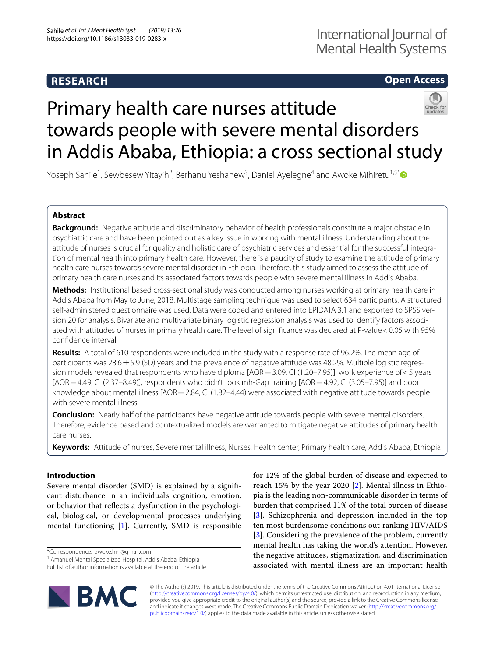# **RESEARCH**

## **Open Access**



# Primary health care nurses attitude towards people with severe mental disorders in Addis Ababa, Ethiopia: a cross sectional study

Yoseph Sahile<sup>1</sup>, Sewbesew Yitayih<sup>2</sup>, Berhanu Yeshanew<sup>3</sup>, Daniel Ayelegne<sup>4</sup> and Awoke Mihiretu<sup>1,5[\\*](http://orcid.org/0000-0002-5956-114X)</sup>

## **Abstract**

**Background:** Negative attitude and discriminatory behavior of health professionals constitute a major obstacle in psychiatric care and have been pointed out as a key issue in working with mental illness. Understanding about the attitude of nurses is crucial for quality and holistic care of psychiatric services and essential for the successful integration of mental health into primary health care. However, there is a paucity of study to examine the attitude of primary health care nurses towards severe mental disorder in Ethiopia. Therefore, this study aimed to assess the attitude of primary health care nurses and its associated factors towards people with severe mental illness in Addis Ababa.

**Methods:** Institutional based cross-sectional study was conducted among nurses working at primary health care in Addis Ababa from May to June, 2018. Multistage sampling technique was used to select 634 participants. A structured self-administered questionnaire was used. Data were coded and entered into EPIDATA 3.1 and exported to SPSS version 20 for analysis. Bivariate and multivariate binary logistic regression analysis was used to identify factors associated with attitudes of nurses in primary health care. The level of signifcance was declared at P-value<0.05 with 95% confdence interval.

**Results:** A total of 610 respondents were included in the study with a response rate of 96.2%. The mean age of participants was  $28.6 \pm 5.9$  (SD) years and the prevalence of negative attitude was 48.2%. Multiple logistic regression models revealed that respondents who have diploma [AOR = 3.09, CI (1.20–7.95)], work experience of < 5 years  $[AOR = 4.49, Cl (2.37–8.49)]$ , respondents who didn't took mh-Gap training  $[AOR = 4.92, Cl (3.05–7.95)]$  and poor knowledge about mental illness [AOR = 2.84, CI (1.82–4.44) were associated with negative attitude towards people with severe mental illness.

**Conclusion:** Nearly half of the participants have negative attitude towards people with severe mental disorders. Therefore, evidence based and contextualized models are warranted to mitigate negative attitudes of primary health care nurses.

**Keywords:** Attitude of nurses, Severe mental illness, Nurses, Health center, Primary health care, Addis Ababa, Ethiopia

## **Introduction**

Severe mental disorder (SMD) is explained by a signifcant disturbance in an individual's cognition, emotion, or behavior that refects a dysfunction in the psychological, biological, or developmental processes underlying mental functioning [\[1](#page-7-0)]. Currently, SMD is responsible

\*Correspondence: awoke.hm@gmail.com

Full list of author information is available at the end of the article



for 12% of the global burden of disease and expected to reach 15% by the year 2020  $[2]$  $[2]$ . Mental illness in Ethiopia is the leading non-communicable disorder in terms of burden that comprised 11% of the total burden of disease [[3\]](#page-7-2). Schizophrenia and depression included in the top ten most burdensome conditions out-ranking HIV/AIDS [[3\]](#page-7-2). Considering the prevalence of the problem, currently mental health has taking the world's attention. However, the negative attitudes, stigmatization, and discrimination associated with mental illness are an important health

© The Author(s) 2019. This article is distributed under the terms of the Creative Commons Attribution 4.0 International License [\(http://creativecommons.org/licenses/by/4.0/\)](http://creativecommons.org/licenses/by/4.0/), which permits unrestricted use, distribution, and reproduction in any medium, provided you give appropriate credit to the original author(s) and the source, provide a link to the Creative Commons license, and indicate if changes were made. The Creative Commons Public Domain Dedication waiver ([http://creativecommons.org/](http://creativecommons.org/publicdomain/zero/1.0/) [publicdomain/zero/1.0/](http://creativecommons.org/publicdomain/zero/1.0/)) applies to the data made available in this article, unless otherwise stated.

<sup>&</sup>lt;sup>1</sup> Amanuel Mental Specialized Hospital, Addis Ababa, Ethiopia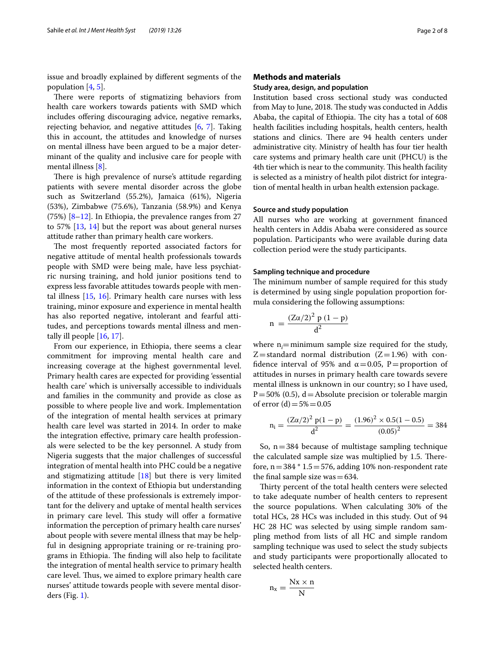issue and broadly explained by diferent segments of the population [[4,](#page-7-3) [5](#page-7-4)].

There were reports of stigmatizing behaviors from health care workers towards patients with SMD which includes ofering discouraging advice, negative remarks, rejecting behavior, and negative attitudes [\[6](#page-7-5), [7](#page-7-6)]. Taking this in account, the attitudes and knowledge of nurses on mental illness have been argued to be a major determinant of the quality and inclusive care for people with mental illness [\[8](#page-7-7)].

There is high prevalence of nurse's attitude regarding patients with severe mental disorder across the globe such as Switzerland (55.2%), Jamaica (61%), Nigeria (53%), Zimbabwe (75.6%), Tanzania (58.9%) and Kenya (75%) [[8–](#page-7-7)[12](#page-7-8)]. In Ethiopia, the prevalence ranges from 27 to 57% [\[13](#page-7-9), [14\]](#page-7-10) but the report was about general nurses attitude rather than primary health care workers.

The most frequently reported associated factors for negative attitude of mental health professionals towards people with SMD were being male, have less psychiatric nursing training, and hold junior positions tend to express less favorable attitudes towards people with mental illness  $[15, 16]$  $[15, 16]$  $[15, 16]$  $[15, 16]$  $[15, 16]$ . Primary health care nurses with less training, minor exposure and experience in mental health has also reported negative, intolerant and fearful attitudes, and perceptions towards mental illness and mentally ill people [\[16](#page-7-12), [17\]](#page-7-13).

From our experience, in Ethiopia, there seems a clear commitment for improving mental health care and increasing coverage at the highest governmental level. Primary health cares are expected for providing 'essential health care' which is universally accessible to individuals and families in the community and provide as close as possible to where people live and work. Implementation of the integration of mental health services at primary health care level was started in 2014. In order to make the integration efective, primary care health professionals were selected to be the key personnel. A study from Nigeria suggests that the major challenges of successful integration of mental health into PHC could be a negative and stigmatizing attitude [\[18](#page-7-14)] but there is very limited information in the context of Ethiopia but understanding of the attitude of these professionals is extremely important for the delivery and uptake of mental health services in primary care level. This study will offer a formative information the perception of primary health care nurses' about people with severe mental illness that may be helpful in designing appropriate training or re-training programs in Ethiopia. The finding will also help to facilitate the integration of mental health service to primary health care level. Thus, we aimed to explore primary health care nurses' attitude towards people with severe mental disorders (Fig. [1\)](#page-2-0).

## **Methods and materials**

## **Study area, design, and population**

Institution based cross sectional study was conducted from May to June, 2018. The study was conducted in Addis Ababa, the capital of Ethiopia. The city has a total of 608 health facilities including hospitals, health centers, health stations and clinics. There are 94 health centers under administrative city. Ministry of health has four tier health care systems and primary health care unit (PHCU) is the 4th tier which is near to the community. This health facility is selected as a ministry of health pilot district for integration of mental health in urban health extension package.

## **Source and study population**

All nurses who are working at government fnanced health centers in Addis Ababa were considered as source population. Participants who were available during data collection period were the study participants.

### **Sampling technique and procedure**

The minimum number of sample required for this study is determined by using single population proportion formula considering the following assumptions:

$$
n = \frac{(Z\alpha/2)^2 p (1-p)}{d^2}
$$

where  $n_i$ =minimum sample size required for the study,  $Z$ =standard normal distribution ( $Z$ =1.96) with confidence interval of 95% and  $\alpha$  = 0.05, P = proportion of attitudes in nurses in primary health care towards severe mental illness is unknown in our country; so I have used,  $P = 50\%$  (0.5), d = Absolute precision or tolerable margin of error  $(d) = 5\% = 0.05$ 

$$
n_i = \frac{(Z\alpha/2)^2 p(1-p)}{d^2} = \frac{(1.96)^2 \times 0.5(1-0.5)}{(0.05)^2} = 384
$$

So,  $n=384$  because of multistage sampling technique the calculated sample size was multiplied by 1.5. Therefore,  $n=384 * 1.5=576$ , adding 10% non-respondent rate the final sample size was $=634$ .

Thirty percent of the total health centers were selected to take adequate number of health centers to represent the source populations. When calculating 30% of the total HCs, 28 HCs was included in this study. Out of 94 HC 28 HC was selected by using simple random sampling method from lists of all HC and simple random sampling technique was used to select the study subjects and study participants were proportionally allocated to selected health centers.

$$
n_x = \frac{Nx \times n}{N}
$$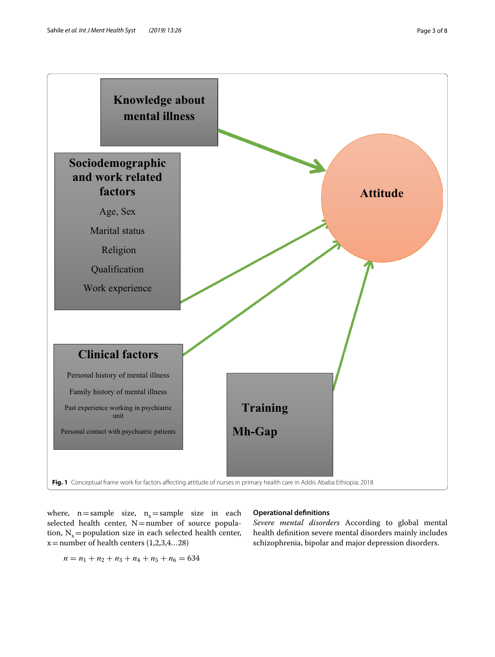

<span id="page-2-0"></span>where,  $n=$  sample size,  $n<sub>x</sub>$  = sample size in each selected health center,  $N=$ number of source population,  $N_x$  = population size in each selected health center,  $x =$ number of health centers (1,2,3,4...28)

## $n = n_1 + n_2 + n_3 + n_4 + n_5 + n_6 = 634$

## **Operational defnitions**

*Severe mental disorders* According to global mental health defnition severe mental disorders mainly includes schizophrenia, bipolar and major depression disorders.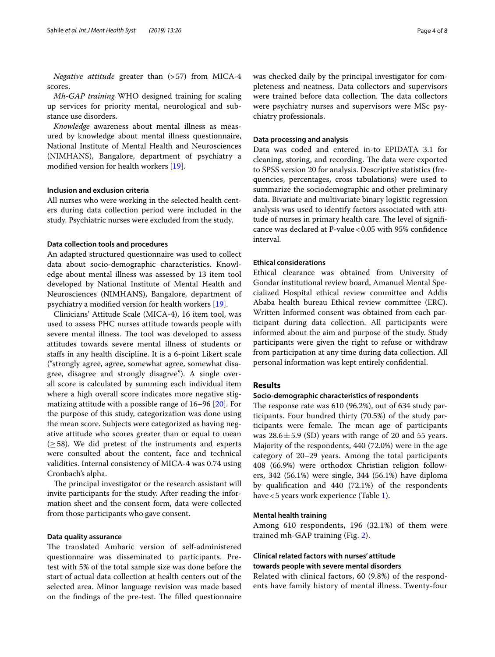*Negative attitude* greater than (>57) from MICA-4 scores.

*Mh-GAP training* WHO designed training for scaling up services for priority mental, neurological and substance use disorders.

*Knowledge* awareness about mental illness as measured by knowledge about mental illness questionnaire, National Institute of Mental Health and Neurosciences (NIMHANS), Bangalore, department of psychiatry a modifed version for health workers [[19\]](#page-7-15).

## **Inclusion and exclusion criteria**

All nurses who were working in the selected health centers during data collection period were included in the study. Psychiatric nurses were excluded from the study.

## **Data collection tools and procedures**

An adapted structured questionnaire was used to collect data about socio-demographic characteristics. Knowledge about mental illness was assessed by 13 item tool developed by National Institute of Mental Health and Neurosciences (NIMHANS), Bangalore, department of psychiatry a modifed version for health workers [\[19](#page-7-15)].

Clinicians' Attitude Scale (MICA-4), 16 item tool, was used to assess PHC nurses attitude towards people with severe mental illness. The tool was developed to assess attitudes towards severe mental illness of students or stafs in any health discipline. It is a 6-point Likert scale (''strongly agree, agree, somewhat agree, somewhat disagree, disagree and strongly disagree''). A single overall score is calculated by summing each individual item where a high overall score indicates more negative stigmatizing attitude with a possible range of 16–96 [\[20\]](#page-7-16). For the purpose of this study, categorization was done using the mean score. Subjects were categorized as having negative attitude who scores greater than or equal to mean  $(\geq 58)$ . We did pretest of the instruments and experts were consulted about the content, face and technical validities. Internal consistency of MICA-4 was 0.74 using Cronbach's alpha.

The principal investigator or the research assistant will invite participants for the study. After reading the information sheet and the consent form, data were collected from those participants who gave consent.

## **Data quality assurance**

The translated Amharic version of self-administered questionnaire was disseminated to participants. Pretest with 5% of the total sample size was done before the start of actual data collection at health centers out of the selected area. Minor language revision was made based on the findings of the pre-test. The filled questionnaire was checked daily by the principal investigator for completeness and neatness. Data collectors and supervisors were trained before data collection. The data collectors were psychiatry nurses and supervisors were MSc psychiatry professionals.

## **Data processing and analysis**

Data was coded and entered in-to EPIDATA 3.1 for cleaning, storing, and recording. The data were exported to SPSS version 20 for analysis. Descriptive statistics (frequencies, percentages, cross tabulations) were used to summarize the sociodemographic and other preliminary data. Bivariate and multivariate binary logistic regression analysis was used to identify factors associated with attitude of nurses in primary health care. The level of significance was declared at P-value  $< 0.05$  with 95% confidence interval.

## **Ethical considerations**

Ethical clearance was obtained from University of Gondar institutional review board, Amanuel Mental Specialized Hospital ethical review committee and Addis Ababa health bureau Ethical review committee (ERC). Written Informed consent was obtained from each participant during data collection. All participants were informed about the aim and purpose of the study. Study participants were given the right to refuse or withdraw from participation at any time during data collection. All personal information was kept entirely confdential.

## **Results**

## **Socio‑demographic characteristics of respondents**

The response rate was  $610$  (96.2%), out of  $634$  study participants. Four hundred thirty (70.5%) of the study participants were female. The mean age of participants was  $28.6 \pm 5.9$  (SD) years with range of 20 and 55 years. Majority of the respondents, 440 (72.0%) were in the age category of 20–29 years. Among the total participants 408 (66.9%) were orthodox Christian religion followers, 342 (56.1%) were single, 344 (56.1%) have diploma by qualifcation and 440 (72.1%) of the respondents have<5 years work experience (Table [1](#page-4-0)).

### **Mental health training**

Among 610 respondents, 196 (32.1%) of them were trained mh-GAP training (Fig. [2\)](#page-4-1).

## **Clinical related factors with nurses' attitude towards people with severe mental disorders**

Related with clinical factors, 60 (9.8%) of the respondents have family history of mental illness. Twenty-four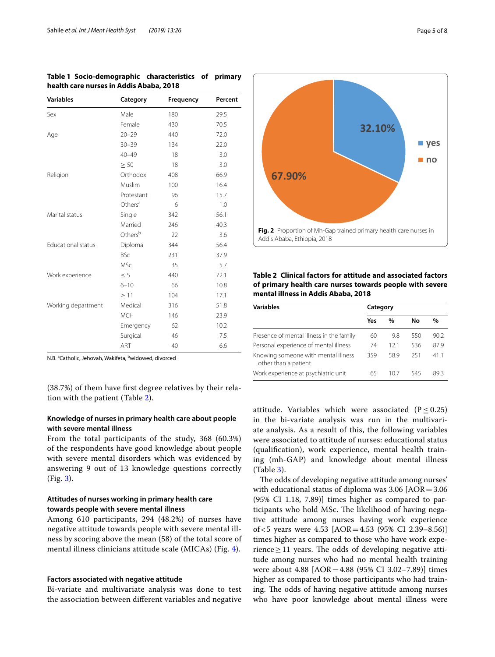| <b>Variables</b>          | Category            | Frequency | Percent |
|---------------------------|---------------------|-----------|---------|
| Sex                       | Male                | 180       | 29.5    |
|                           | Female              | 430       | 70.5    |
| Age                       | $20 - 29$           | 440       | 72.0    |
|                           | $30 - 39$           | 134       | 22.0    |
|                           | $40 - 49$           | 18        | 3.0     |
|                           | > 50                | 18        | 3.0     |
| Religion                  | Orthodox            | 408       | 66.9    |
|                           | Muslim              | 100       | 16.4    |
|                           | Protestant          | 96        | 15.7    |
|                           | Others <sup>a</sup> | 6         | 1.0     |
| Marital status            | Single              | 342       | 56.1    |
|                           | Married             | 246       | 40.3    |
|                           | Others <sup>b</sup> | 22        | 3.6     |
| <b>Educational status</b> | Diploma             | 344       | 56.4    |
|                           | <b>BSc</b>          | 231       | 37.9    |
|                           | <b>MSc</b>          | 35        | 5.7     |
| Work experience           | $\leq 5$            | 440       | 72.1    |
|                           | $6 - 10$            | 66        | 10.8    |
|                           | $\geq$ 11           | 104       | 17.1    |
| Working department        | Medical             | 316       | 51.8    |
|                           | <b>MCH</b>          | 146       | 23.9    |
|                           | Emergency           | 62        | 10.2    |
|                           | Surgical            | 46        | 7.5     |
|                           | ART                 | 40        | 6.6     |

<span id="page-4-0"></span>**Table 1 Socio-demographic characteristics of primary health care nurses in Addis Ababa, 2018**

N.B. <sup>a</sup>Catholic, Jehovah, Wakifeta, <sup>b</sup>widowed, divorced

(38.7%) of them have frst degree relatives by their relation with the patient (Table [2](#page-4-2)).

## **Knowledge of nurses in primary health care about people with severe mental illness**

From the total participants of the study, 368 (60.3%) of the respondents have good knowledge about people with severe mental disorders which was evidenced by answering 9 out of 13 knowledge questions correctly (Fig. [3\)](#page-5-0).

## **Attitudes of nurses working in primary health care towards people with severe mental illness**

Among 610 participants, 294 (48.2%) of nurses have negative attitude towards people with severe mental illness by scoring above the mean (58) of the total score of mental illness clinicians attitude scale (MICAs) (Fig. [4\)](#page-5-1).

## **Factors associated with negative attitude**

Bi-variate and multivariate analysis was done to test the association between diferent variables and negative



<span id="page-4-2"></span><span id="page-4-1"></span>**Table 2 Clinical factors for attitude and associated factors of primary health care nurses towards people with severe mental illness in Addis Ababa, 2018**

| <b>Variables</b>                                            | Category |      |     |      |  |  |
|-------------------------------------------------------------|----------|------|-----|------|--|--|
|                                                             | Yes      | %    | Νo  | $\%$ |  |  |
| Presence of mental illness in the family                    | 60       | 9.8  | 550 | 90.2 |  |  |
| Personal experience of mental illness                       | 74       | 121  | 536 | 87.9 |  |  |
| Knowing someone with mental illness<br>other than a patient | 359      | 58.9 | 251 | 411  |  |  |
| Work experience at psychiatric unit                         | 65       | 10 / | 545 | 89.3 |  |  |

attitude. Variables which were associated ( $P \le 0.25$ ) in the bi-variate analysis was run in the multivariate analysis. As a result of this, the following variables were associated to attitude of nurses: educational status (qualifcation), work experience, mental health training (mh-GAP) and knowledge about mental illness (Table [3\)](#page-6-0).

The odds of developing negative attitude among nurses' with educational status of diploma was  $3.06$   $[AOR = 3.06]$ (95% CI 1.18, 7.89)] times higher as compared to participants who hold MSc. The likelihood of having negative attitude among nurses having work experience of<5 years were 4.53 [AOR=4.53 (95% CI 2.39–8.56)] times higher as compared to those who have work experience  $\geq$  11 years. The odds of developing negative attitude among nurses who had no mental health training were about 4.88 [AOR=4.88 (95% CI 3.02–7.89)] times higher as compared to those participants who had training. The odds of having negative attitude among nurses who have poor knowledge about mental illness were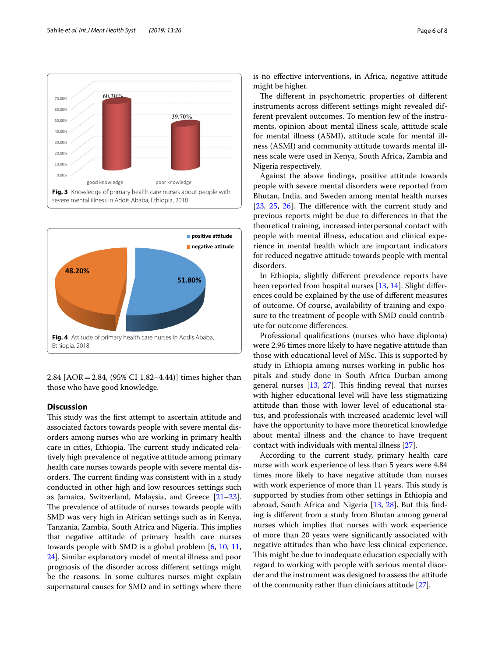

<span id="page-5-0"></span>

<span id="page-5-1"></span>2.84 [AOR=2.84, (95% CI 1.82–4.44)] times higher than those who have good knowledge.

## **Discussion**

This study was the first attempt to ascertain attitude and associated factors towards people with severe mental disorders among nurses who are working in primary health care in cities, Ethiopia. The current study indicated relatively high prevalence of negative attitude among primary health care nurses towards people with severe mental disorders. The current finding was consistent with in a study conducted in other high and low resources settings such as Jamaica, Switzerland, Malaysia, and Greece [[21](#page-7-17)[–23](#page-7-18)]. The prevalence of attitude of nurses towards people with SMD was very high in African settings such as in Kenya, Tanzania, Zambia, South Africa and Nigeria. This implies that negative attitude of primary health care nurses towards people with SMD is a global problem [\[6](#page-7-5), [10](#page-7-19), [11](#page-7-20), [24](#page-7-21)]. Similar explanatory model of mental illness and poor prognosis of the disorder across diferent settings might be the reasons. In some cultures nurses might explain supernatural causes for SMD and in settings where there is no efective interventions, in Africa, negative attitude might be higher.

The different in psychometric properties of different instruments across diferent settings might revealed different prevalent outcomes. To mention few of the instruments, opinion about mental illness scale, attitude scale for mental illness (ASMI), attitude scale for mental illness (ASMI) and community attitude towards mental illness scale were used in Kenya, South Africa, Zambia and Nigeria respectively.

Against the above fndings, positive attitude towards people with severe mental disorders were reported from Bhutan, India, and Sweden among mental health nurses  $[23, 25, 26]$  $[23, 25, 26]$  $[23, 25, 26]$  $[23, 25, 26]$  $[23, 25, 26]$  $[23, 25, 26]$  $[23, 25, 26]$ . The difference with the current study and previous reports might be due to diferences in that the theoretical training, increased interpersonal contact with people with mental illness, education and clinical experience in mental health which are important indicators for reduced negative attitude towards people with mental disorders.

In Ethiopia, slightly diferent prevalence reports have been reported from hospital nurses [\[13](#page-7-9), [14\]](#page-7-10). Slight diferences could be explained by the use of diferent measures of outcome. Of course, availability of training and exposure to the treatment of people with SMD could contribute for outcome diferences.

Professional qualifcations (nurses who have diploma) were 2.96 times more likely to have negative attitude than those with educational level of MSc. This is supported by study in Ethiopia among nurses working in public hospitals and study done in South Africa Durban among general nurses  $[13, 27]$  $[13, 27]$  $[13, 27]$  $[13, 27]$ . This finding reveal that nurses with higher educational level will have less stigmatizing attitude than those with lower level of educational status, and professionals with increased academic level will have the opportunity to have more theoretical knowledge about mental illness and the chance to have frequent contact with individuals with mental illness [\[27\]](#page-7-24).

According to the current study, primary health care nurse with work experience of less than 5 years were 4.84 times more likely to have negative attitude than nurses with work experience of more than 11 years. This study is supported by studies from other settings in Ethiopia and abroad, South Africa and Nigeria [\[13,](#page-7-9) [28](#page-7-25)]. But this fnding is diferent from a study from Bhutan among general nurses which implies that nurses with work experience of more than 20 years were signifcantly associated with negative attitudes than who have less clinical experience. This might be due to inadequate education especially with regard to working with people with serious mental disorder and the instrument was designed to assess the attitude of the community rather than clinicians attitude [\[27](#page-7-24)].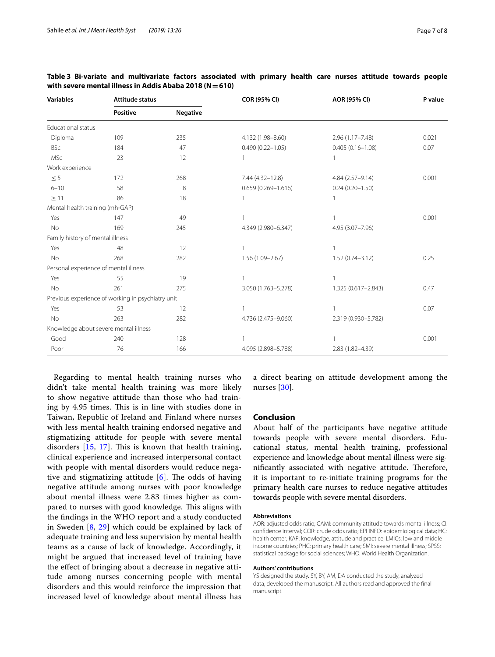| <b>Variables</b>                 | <b>Attitude status</b>                            |                 | COR (95% CI)           | AOR (95% CI)         | P value |  |
|----------------------------------|---------------------------------------------------|-----------------|------------------------|----------------------|---------|--|
|                                  | Positive                                          | <b>Negative</b> |                        |                      |         |  |
| <b>Educational status</b>        |                                                   |                 |                        |                      |         |  |
| Diploma                          | 109                                               | 235             | 4.132 (1.98-8.60)      | $2.96(1.17 - 7.48)$  | 0.021   |  |
| <b>BSc</b>                       | 184                                               | 47              | $0.490(0.22 - 1.05)$   | $0.405(0.16 - 1.08)$ | 0.07    |  |
| <b>MSc</b>                       | 23                                                | 12              | 1                      | 1                    |         |  |
| Work experience                  |                                                   |                 |                        |                      |         |  |
| $\leq 5$                         | 172                                               | 268             | 7.44 (4.32-12.8)       | 4.84 (2.57-9.14)     | 0.001   |  |
| $6 - 10$                         | 58                                                | 8               | $0.659(0.269 - 1.616)$ | $0.24(0.20 - 1.50)$  |         |  |
| $\geq$ 11                        | 86                                                | 18              |                        | 1                    |         |  |
| Mental health training (mh-GAP)  |                                                   |                 |                        |                      |         |  |
| Yes                              | 147                                               | 49              |                        | 1                    | 0.001   |  |
| No                               | 169                                               | 245             | 4.349 (2.980-6.347)    | 4.95 (3.07-7.96)     |         |  |
| Family history of mental illness |                                                   |                 |                        |                      |         |  |
| Yes                              | 48                                                | 12              |                        | 1                    |         |  |
| <b>No</b>                        | 268                                               | 282             | $1.56(1.09 - 2.67)$    | $1.52(0.74 - 3.12)$  | 0.25    |  |
|                                  | Personal experience of mental illness             |                 |                        |                      |         |  |
| Yes                              | 55                                                | 19              |                        | $\mathbf{1}$         |         |  |
| <b>No</b>                        | 261                                               | 275             | 3.050 (1.763-5.278)    | 1.325 (0.617-2.843)  | 0.47    |  |
|                                  | Previous experience of working in psychiatry unit |                 |                        |                      |         |  |
| Yes                              | 53                                                | 12              | $\mathbf{1}$           | 1                    | 0.07    |  |
| <b>No</b>                        | 263                                               | 282             | 4.736 (2.475-9.060)    | 2.319 (0.930-5.782)  |         |  |
|                                  | Knowledge about severe mental illness             |                 |                        |                      |         |  |
| Good                             | 240                                               | 128             |                        | 1                    | 0.001   |  |
| Poor                             | 76                                                | 166             | 4.095 (2.898-5.788)    | 2.83 (1.82-4.39)     |         |  |

<span id="page-6-0"></span>

|  | Table 3 Bi-variate and multivariate factors associated with primary health care nurses attitude towards people |  |  |  |  |  |
|--|----------------------------------------------------------------------------------------------------------------|--|--|--|--|--|
|  | with severe mental illness in Addis Ababa 2018 ( $N = 610$ )                                                   |  |  |  |  |  |

Regarding to mental health training nurses who didn't take mental health training was more likely to show negative attitude than those who had training by 4.95 times. This is in line with studies done in Taiwan, Republic of Ireland and Finland where nurses with less mental health training endorsed negative and stigmatizing attitude for people with severe mental disorders  $[15, 17]$  $[15, 17]$  $[15, 17]$  $[15, 17]$  $[15, 17]$ . This is known that health training, clinical experience and increased interpersonal contact with people with mental disorders would reduce negative and stigmatizing attitude  $[6]$  $[6]$ . The odds of having negative attitude among nurses with poor knowledge about mental illness were 2.83 times higher as compared to nurses with good knowledge. This aligns with the fndings in the WHO report and a study conducted in Sweden  $[8, 29]$  $[8, 29]$  $[8, 29]$  $[8, 29]$  which could be explained by lack of adequate training and less supervision by mental health teams as a cause of lack of knowledge. Accordingly, it might be argued that increased level of training have the efect of bringing about a decrease in negative attitude among nurses concerning people with mental disorders and this would reinforce the impression that increased level of knowledge about mental illness has a direct bearing on attitude development among the nurses [[30](#page-7-27)].

## **Conclusion**

About half of the participants have negative attitude towards people with severe mental disorders. Educational status, mental health training, professional experience and knowledge about mental illness were significantly associated with negative attitude. Therefore, it is important to re-initiate training programs for the primary health care nurses to reduce negative attitudes towards people with severe mental disorders.

### **Abbreviations**

AOR: adjusted odds ratio; CAMI: community attitude towards mental illness; CI: confdence interval; COR: crude odds ratio; EPI INFO: epidemiological data; HC: health center; KAP: knowledge, attitude and practice; LMICs: low and middle income countries; PHC: primary health care; SMI: severe mental illness; SPSS: statistical package for social sciences; WHO: World Health Organization.

#### **Authors' contributions**

YS designed the study. SY, BY, AM, DA conducted the study, analyzed data, developed the manuscript. All authors read and approved the fnal manuscript.